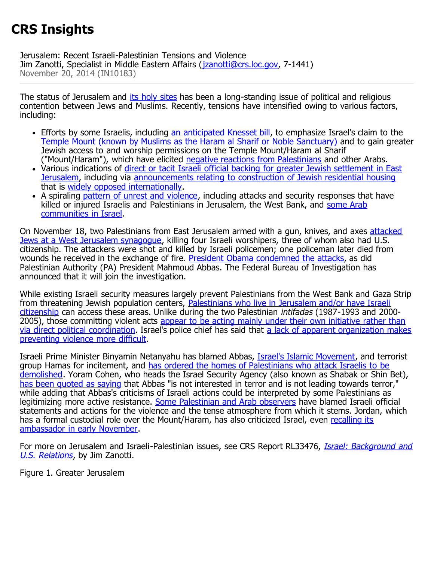## **CRS Insights**

Jerusalem: Recent Israeli-Palestinian Tensions and Violence Jim Zanotti, Specialist in Middle Eastern Affairs (*jzanotti@crs.loc.gov*, 7-1441) November 20, 2014 (IN10183)

The status of Jerusalem and *its holy sites* has been a long-standing issue of political and religious contention between Jews and Muslims. Recently, tensions have intensified owing to various factors, including:

- Efforts by some Israelis, including [an](http://www.israelnationalnews.com/News/News.aspx/186433#.VGylmbTNmSo) [anticipated Knesset bill](http://www.israelnationalnews.com/News/News.aspx/186433#.VGylmbTNmSo), to emphasize Israel's claim to the [Temple Mount \(known by Muslims as the Haram al Sharif or Noble Sanctuary\)](http://www.nytimes.com/interactive/2014/10/30/world/middleeast/templemount.html) and to gain greater Jewish access to and worship permissions on the Temple Mount/Haram al Sharif ("Mount/Haram"), which have elicited [negative reactions from Palestinians](http://www.npr.org/blogs/parallels/2014/11/15/364119614/at-a-tense-jerusalem-holy-site-palestinians-stand-watch) and other Arabs.
- Various indications of [direct or tacit Israeli official backing for greater Jewish settlement in East](http://www.economist.com/news/middle-east-and-africa/21631199-conflict-over-jerusalems-holy-sites-may-spark-wider-conflagration-undivided-and) [Jerusalem](http://www.economist.com/news/middle-east-and-africa/21631199-conflict-over-jerusalems-holy-sites-may-spark-wider-conflagration-undivided-and), including via [announcements relating to construction of Jewish residential housing](http://www.t-j.org.il/LatestDevelopments/tabid/1370/currentpage/1/articleID/756/Default.aspx) that is [widely opposed internationally.](http://www.un.org/apps/news/story.asp?NewsID=49200#.VGyusLTNmSo)
- A spiraling [pattern of unrest and violence](http://www.huffingtonpost.com/2014/11/17/jerusalem-protest-timeline_n_6173182.html), including attacks and security responses that have killed or injured Israelis and Palestinians in Jerusalem, the West Bank, and [some Arab](http://www.jpost.com/Israel-News/VIDEO-Police-shoot-knife-wielding-man-in-Arab-town-381160) [communities in Israel.](http://www.jpost.com/Israel-News/VIDEO-Police-shoot-knife-wielding-man-in-Arab-town-381160)

On November 18, two Palestinians from East Jerusalem armed with a gun, knives, and axes [attacked](http://www.nytimes.com/2014/11/19/world/middleeast/killings-in-jerusalem-synagogue-complex.html?_r=0) [Jews at a West Jerusalem synagogue](http://www.nytimes.com/2014/11/19/world/middleeast/killings-in-jerusalem-synagogue-complex.html?_r=0), killing four Israeli worshipers, three of whom also had U.S. citizenship. The attackers were shot and killed by Israeli policemen; one policeman later died from wounds he received in the exchange of fire. [President Obama condemned the attacks,](http://www.whitehouse.gov/the-press-office/2014/11/18/statement-president-attack-jerusalem) as did Palestinian Authority (PA) President Mahmoud Abbas. The Federal Bureau of Investigation has announced that it will join the investigation.

While existing Israeli security measures largely prevent Palestinians from the West Bank and Gaza Strip from threatening Jewish population centers, [Palestinians who live in Jerusalem and/or have Israeli](http://www.btselem.org/jerusalem/legal_status) [citizenship](http://www.btselem.org/jerusalem/legal_status) can access these areas. Unlike during the two Palestinian intifadas (1987-1993 and 20002005), those committing violent acts [appear to be acting mainly under their own initiative rather than](http://www.washingtonpost.com/world/worshipers-return-to-synagogue-israel-begins-razing-homes/2014/11/19/b26b6d1e-6f7e-11e4-893f-86bd390a3340_story.html) [via direct political coordination.](http://www.washingtonpost.com/world/worshipers-return-to-synagogue-israel-begins-razing-homes/2014/11/19/b26b6d1e-6f7e-11e4-893f-86bd390a3340_story.html) Israel's police chief has said that [a lack of apparent organization makes](http://www.cbsnews.com/news/jerusalem-synagogue-attack-palestinians-homes-to-be-destroyed/) [preventing violence more difficult.](http://www.cbsnews.com/news/jerusalem-synagogue-attack-palestinians-homes-to-be-destroyed/)

Israeli Prime Minister Binyamin Netanyahu has blamed Abbas, [Israel's Islamic Movement](http://www.aljazeera.com/news/middleeast/2010/10/20101027121259776547.html), and terrorist group Hamas for incitement, and [has ordered the homes of Palestinians who attack Israelis to be](http://www.cbsnews.com/news/jerusalem-synagogue-attack-palestinians-homes-to-be-destroyed/) [demolished.](http://www.cbsnews.com/news/jerusalem-synagogue-attack-palestinians-homes-to-be-destroyed/) Yoram Cohen, who heads the Israel Security Agency (also known as Shabak or Shin Bet), [has been quoted as saying](http://www.timesofisrael.com/security-chief-says-palestinian-leaders-not-stoking-violence/) that Abbas "is not interested in terror and is not leading towards terror," while adding that Abbas's criticisms of Israeli actions could be interpreted by some Palestinians as legitimizing more active resistance. [Some Palestinian and Arab observers](http://www.bbc.com/news/world-middle-east-30114387) have blamed Israeli official statements and actions for the violence and the tense atmosphere from which it stems. Jordan, which has a formal custodial role over the Mount/Haram, has also criticized Israel, even [recalling its](http://www.timesofisrael.com/netanyahu-told-jordans-king-to-take-reins-at-temple-mount-report/) [ambassador in early November.](http://www.timesofisrael.com/netanyahu-told-jordans-king-to-take-reins-at-temple-mount-report/)

For more on Jerusalem and Israeli-Palestinian issues, see CRS Report RL33476, *[Israel: Background and](http://www.fas.org/sgp/crs/mideast/RL33476.pdf)* [U.S. Relations](http://www.fas.org/sgp/crs/mideast/RL33476.pdf), by Jim Zanotti.

Figure 1. Greater Jerusalem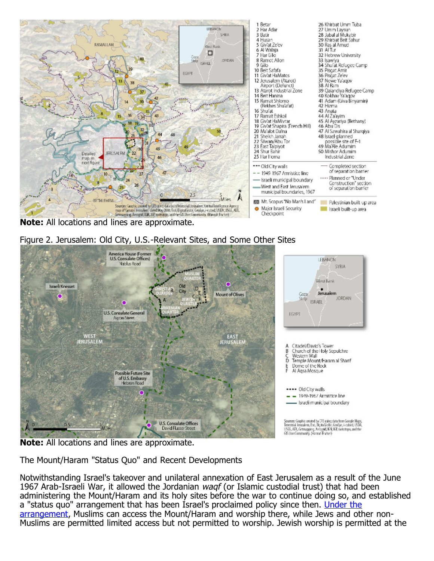

**Note:** All locations and lines are approximate.





**Note:** All locations and lines are approximate.

The Mount/Haram "Status Quo" and Recent Developments

Notwithstanding Israel's takeover and unilateral annexation of East Jerusalem as a result of the June 1967 Arab-Israeli War, it allowed the Jordanian waqf (or Islamic custodial trust) that had been administering the Mount/Haram and its holy sites before the war to continue doing so, and established a "status quo" arrangement that has been Israel's proclaimed policy since then. [Under the](http://www.ir-amim.org.il/sites/default/files/Dangerous%20Liaison_0.pdf#page=12) [arrangement](http://www.ir-amim.org.il/sites/default/files/Dangerous%20Liaison_0.pdf#page=12), Muslims can access the Mount/Haram and worship there, while Jews and other non-Muslims are permitted limited access but not permitted to worship. Jewish worship is permitted at the